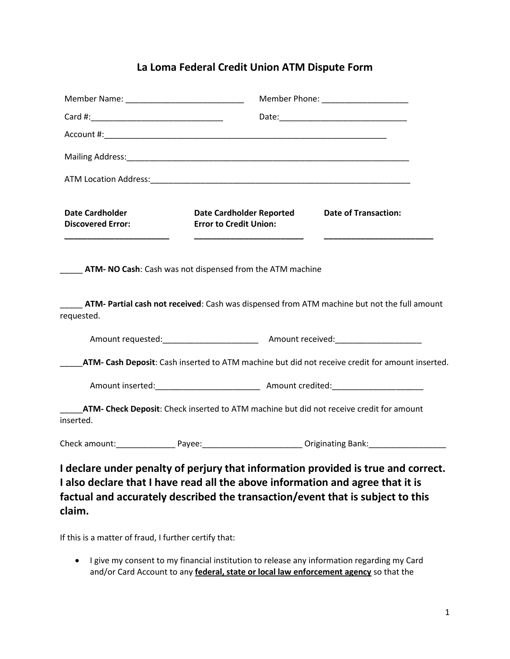## **La Loma Federal Credit Union ATM Dispute Form**

|                                                                                                                                                                                                                                                                                            |  |                                                                  | Member Phone: ______________________                                                                                                                                |
|--------------------------------------------------------------------------------------------------------------------------------------------------------------------------------------------------------------------------------------------------------------------------------------------|--|------------------------------------------------------------------|---------------------------------------------------------------------------------------------------------------------------------------------------------------------|
|                                                                                                                                                                                                                                                                                            |  |                                                                  |                                                                                                                                                                     |
|                                                                                                                                                                                                                                                                                            |  |                                                                  |                                                                                                                                                                     |
|                                                                                                                                                                                                                                                                                            |  |                                                                  |                                                                                                                                                                     |
|                                                                                                                                                                                                                                                                                            |  |                                                                  |                                                                                                                                                                     |
| <b>Date Cardholder</b><br><b>Discovered Error:</b><br><u> 1989 - Johann John Harry Harry Harry Harry Harry Harry Harry Harry Harry Harry Harry Harry Harry Harry Harry Harry Harry Harry Harry Harry Harry Harry Harry Harry Harry Harry Harry Harry Harry Harry Harry Harry Harry Har</u> |  | <b>Date Cardholder Reported</b><br><b>Error to Credit Union:</b> | <b>Date of Transaction:</b>                                                                                                                                         |
| <b>ATM-NO Cash:</b> Cash was not dispensed from the ATM machine                                                                                                                                                                                                                            |  |                                                                  |                                                                                                                                                                     |
| requested.                                                                                                                                                                                                                                                                                 |  |                                                                  | ATM- Partial cash not received: Cash was dispensed from ATM machine but not the full amount                                                                         |
|                                                                                                                                                                                                                                                                                            |  |                                                                  |                                                                                                                                                                     |
|                                                                                                                                                                                                                                                                                            |  |                                                                  | ATM- Cash Deposit: Cash inserted to ATM machine but did not receive credit for amount inserted.                                                                     |
|                                                                                                                                                                                                                                                                                            |  |                                                                  |                                                                                                                                                                     |
| inserted.                                                                                                                                                                                                                                                                                  |  |                                                                  | ATM- Check Deposit: Check inserted to ATM machine but did not receive credit for amount                                                                             |
|                                                                                                                                                                                                                                                                                            |  |                                                                  | Check amount:____________________Payee:______________________________Originating Bank:___________________                                                           |
|                                                                                                                                                                                                                                                                                            |  |                                                                  | I declare under penalty of perjury that information provided is true and correct.<br>I also declare that I have read all the above information and agree that it is |
|                                                                                                                                                                                                                                                                                            |  |                                                                  | factual and accurately described the transaction/event that is subject to this                                                                                      |

If this is a matter of fraud, I further certify that:

**claim.** 

 I give my consent to my financial institution to release any information regarding my Card and/or Card Account to any **federal, state or local law enforcement agency** so that the